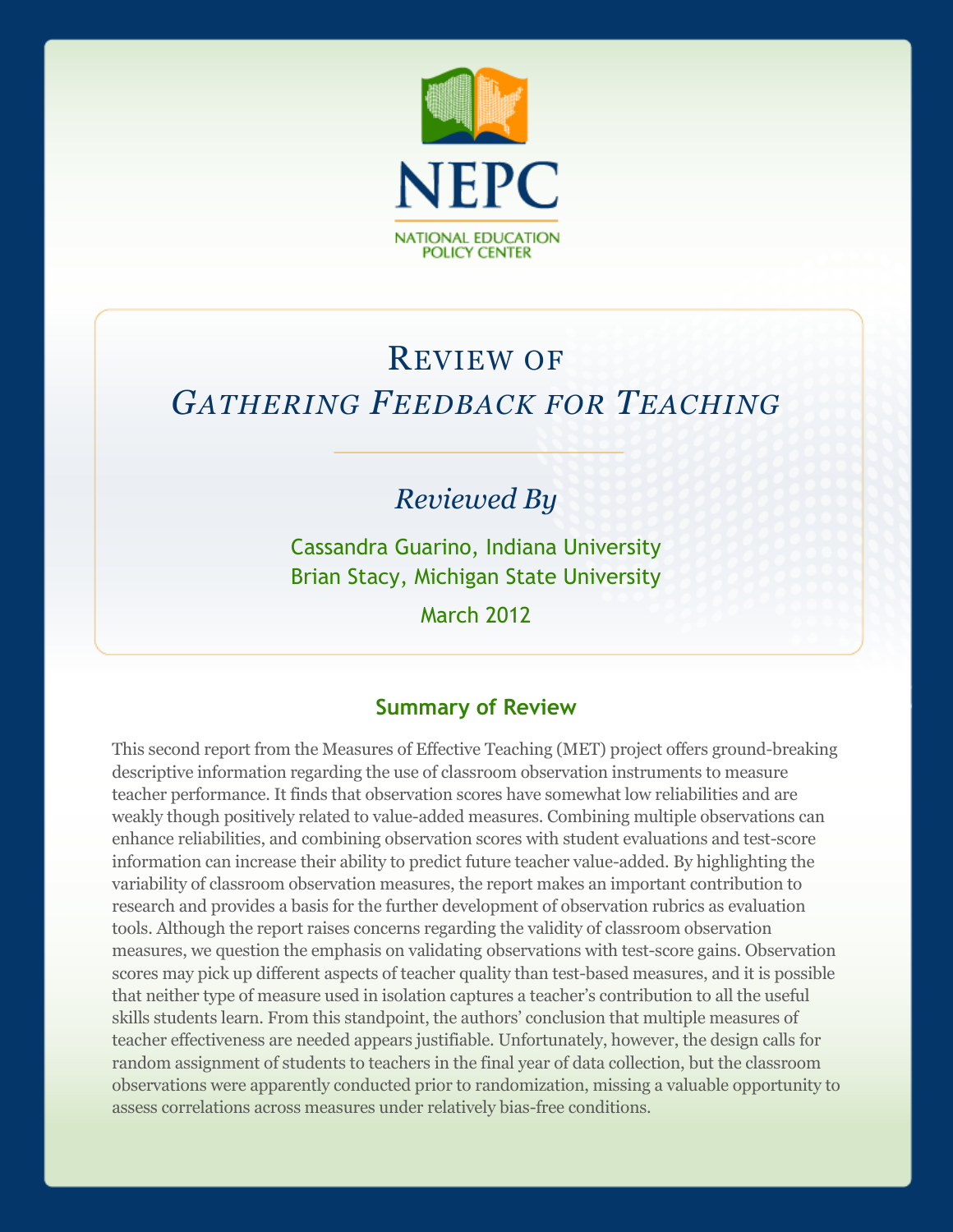

# REVIEW OF *GATHERING FEEDBACK FOR TEACHING*

## *Reviewed By*

Cassandra Guarino, Indiana University Brian Stacy, Michigan State University

March 2012

## **Summary of Review**

This second report from the Measures of Effective Teaching (MET) project offers ground-breaking descriptive information regarding the use of classroom observation instruments to measure teacher performance. It finds that observation scores have somewhat low reliabilities and are weakly though positively related to value-added measures. Combining multiple observations can enhance reliabilities, and combining observation scores with student evaluations and test-score information can increase their ability to predict future teacher value-added. By highlighting the variability of classroom observation measures, the report makes an important contribution to research and provides a basis for the further development of observation rubrics as evaluation tools. Although the report raises concerns regarding the validity of classroom observation measures, we question the emphasis on validating observations with test-score gains. Observation scores may pick up different aspects of teacher quality than test-based measures, and it is possible that neither type of measure used in isolation captures a teacher's contribution to all the useful skills students learn. From this standpoint, the authors' conclusion that multiple measures of teacher effectiveness are needed appears justifiable. Unfortunately, however, the design calls for random assignment of students to teachers in the final year of data collection, but the classroom observations were apparently conducted prior to randomization, missing a valuable opportunity to assess correlations across measures under relatively bias-free conditions.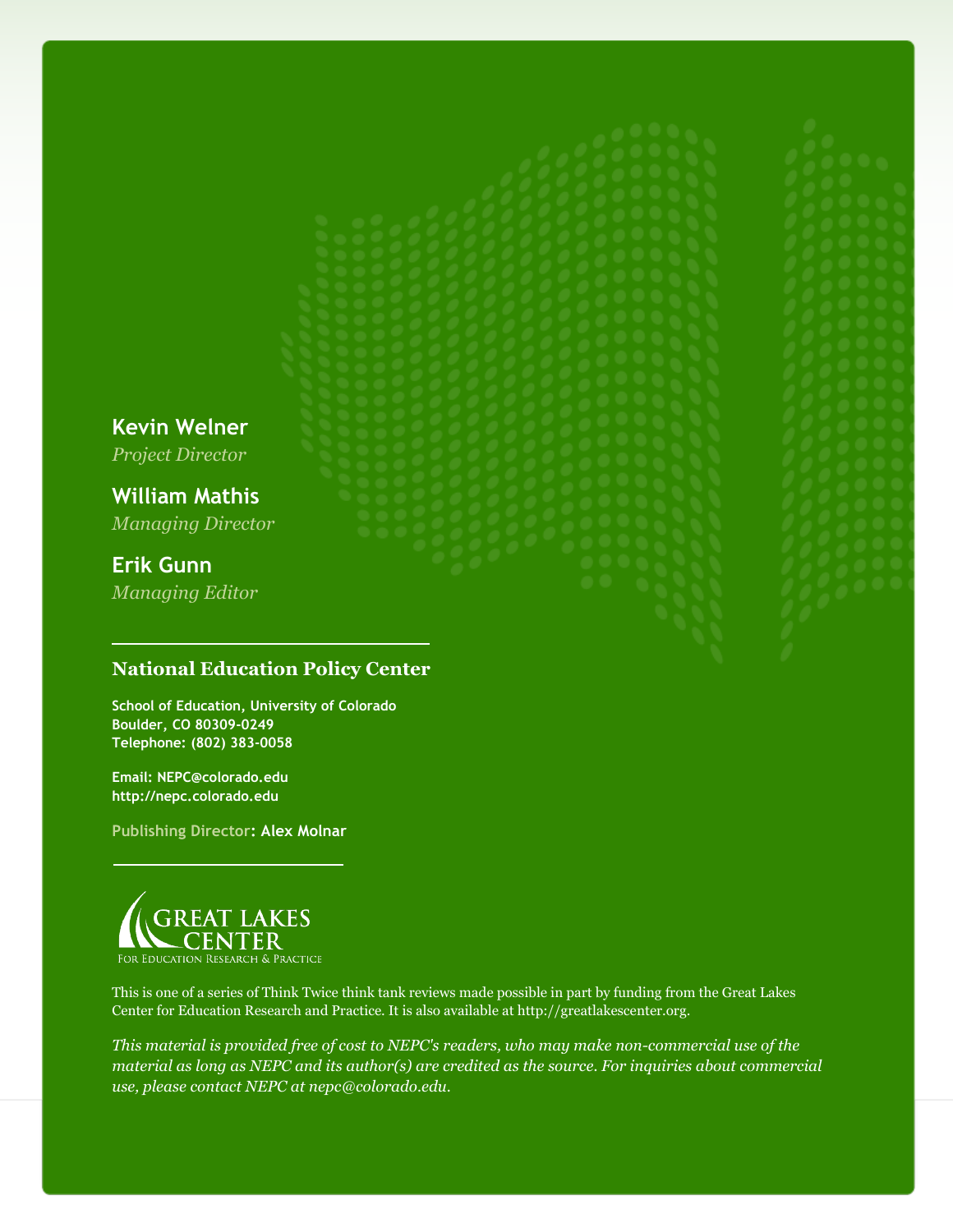**Kevin Welner**

*Project Director*

**William Mathis** *Managing Director*

## **Erik Gunn**

*Managing Editor*

## **National Education Policy Center**

**School of Education, University of Colorado Boulder, CO 80309-0249 Telephone: (802) 383-0058**

**Email: NEPC@colorado.edu http://nepc.colorado.edu**

**Publishing Director: Alex Molnar**



This is one of a series of Think Twice think tank reviews made possible in part by funding from the Great Lakes Center for Education Research and Practice. It is also available at http://greatlakescenter.org.

*This material is provided free of cost to NEPC's readers, who may make non-commercial use of the material as long as NEPC and its author(s) are credited as the source. For inquiries about commercial use, please contact NEPC at nepc@colorado.edu.*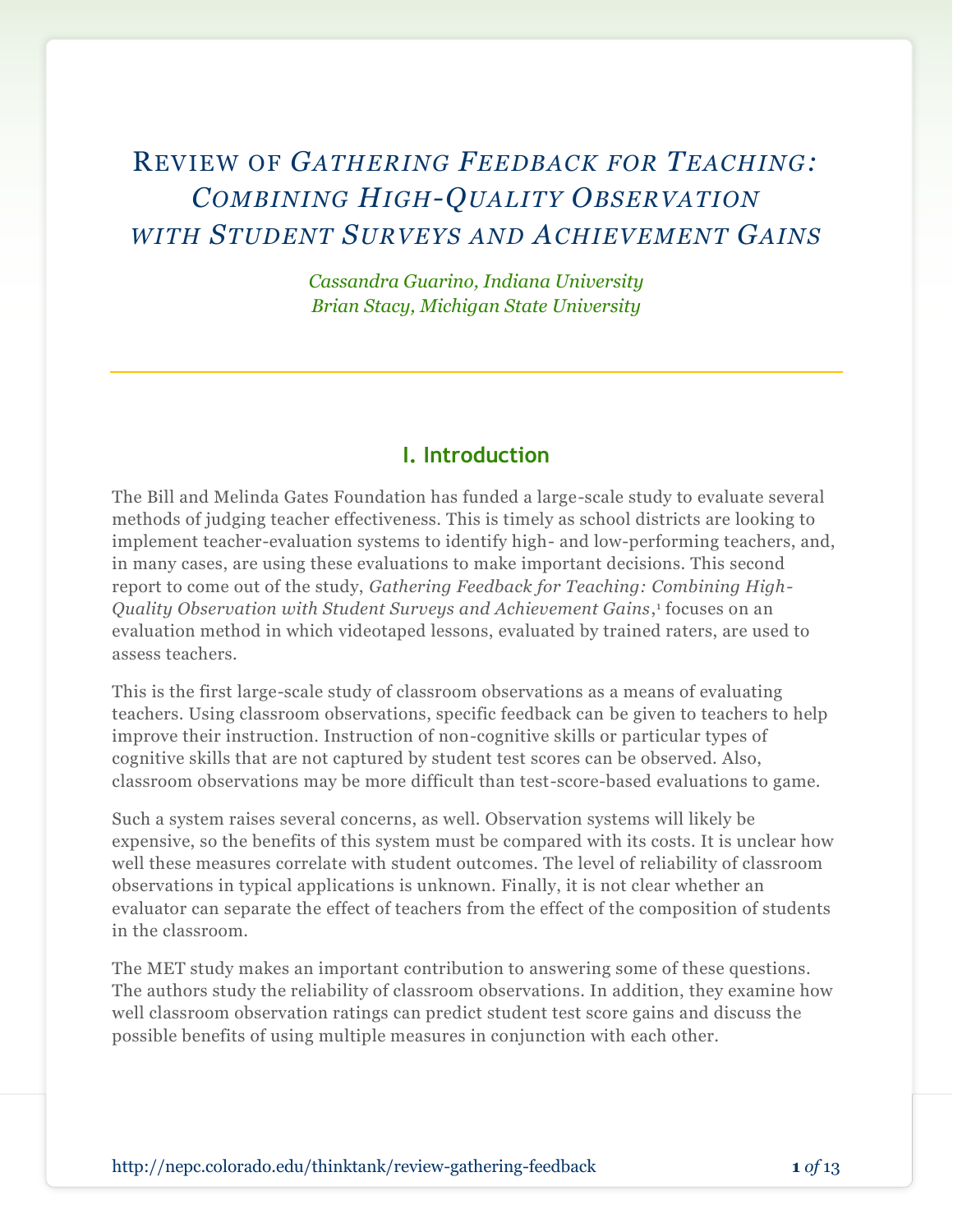## REVIEW OF *GATHERING FEEDBACK FOR TEACHING: COMBINING HIGH-QUALITY OBSERVATION WITH STUDENT SURVEYS AND ACHIEVEMENT GAINS*

*Cassandra Guarino, Indiana University Brian Stacy, Michigan State University*

## **I. Introduction**

The Bill and Melinda Gates Foundation has funded a large-scale study to evaluate several methods of judging teacher effectiveness. This is timely as school districts are looking to implement teacher-evaluation systems to identify high- and low-performing teachers, and, in many cases, are using these evaluations to make important decisions. This second report to come out of the study, *Gathering Feedback for Teaching: Combining High-Quality Observation with Student Surveys and Achievement Gains*, 1 focuses on an evaluation method in which videotaped lessons, evaluated by trained raters, are used to assess teachers.

This is the first large-scale study of classroom observations as a means of evaluating teachers. Using classroom observations, specific feedback can be given to teachers to help improve their instruction. Instruction of non-cognitive skills or particular types of cognitive skills that are not captured by student test scores can be observed. Also, classroom observations may be more difficult than test-score-based evaluations to game.

Such a system raises several concerns, as well. Observation systems will likely be expensive, so the benefits of this system must be compared with its costs. It is unclear how well these measures correlate with student outcomes. The level of reliability of classroom observations in typical applications is unknown. Finally, it is not clear whether an evaluator can separate the effect of teachers from the effect of the composition of students in the classroom.

The MET study makes an important contribution to answering some of these questions. The authors study the reliability of classroom observations. In addition, they examine how well classroom observation ratings can predict student test score gains and discuss the possible benefits of using multiple measures in conjunction with each other.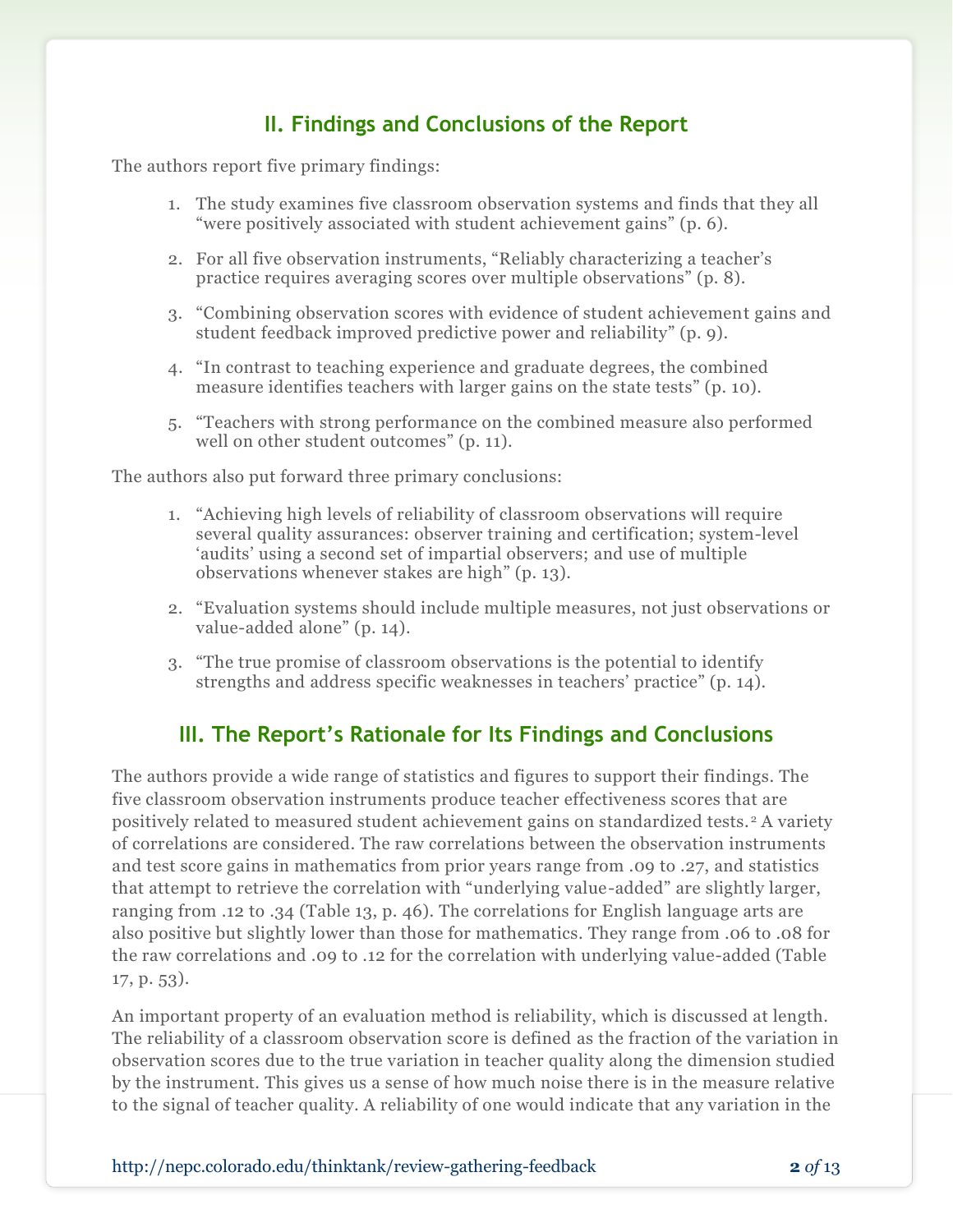## **II. Findings and Conclusions of the Report**

The authors report five primary findings:

- 1. The study examines five classroom observation systems and finds that they all "were positively associated with student achievement gains" (p. 6).
- 2. For all five observation instruments, "Reliably characterizing a teacher's practice requires averaging scores over multiple observations" (p. 8).
- 3. "Combining observation scores with evidence of student achievement gains and student feedback improved predictive power and reliability" (p. 9).
- 4. "In contrast to teaching experience and graduate degrees, the combined measure identifies teachers with larger gains on the state tests" (p. 10).
- 5. "Teachers with strong performance on the combined measure also performed well on other student outcomes" (p. 11).

The authors also put forward three primary conclusions:

- 1. "Achieving high levels of reliability of classroom observations will require several quality assurances: observer training and certification; system-level 'audits' using a second set of impartial observers; and use of multiple observations whenever stakes are high" (p. 13).
- 2. "Evaluation systems should include multiple measures, not just observations or value-added alone" (p. 14).
- 3. "The true promise of classroom observations is the potential to identify strengths and address specific weaknesses in teachers' practice" (p. 14).

## **III. The Report's Rationale for Its Findings and Conclusions**

The authors provide a wide range of statistics and figures to support their findings. The five classroom observation instruments produce teacher effectiveness scores that are positively related to measured student achievement gains on standardized tests. <sup>2</sup> A variety of correlations are considered. The raw correlations between the observation instruments and test score gains in mathematics from prior years range from .09 to .27, and statistics that attempt to retrieve the correlation with "underlying value-added" are slightly larger, ranging from .12 to .34 (Table 13, p. 46). The correlations for English language arts are also positive but slightly lower than those for mathematics. They range from .06 to .08 for the raw correlations and .09 to .12 for the correlation with underlying value-added (Table 17, p. 53).

An important property of an evaluation method is reliability, which is discussed at length. The reliability of a classroom observation score is defined as the fraction of the variation in observation scores due to the true variation in teacher quality along the dimension studied by the instrument. This gives us a sense of how much noise there is in the measure relative to the signal of teacher quality. A reliability of one would indicate that any variation in the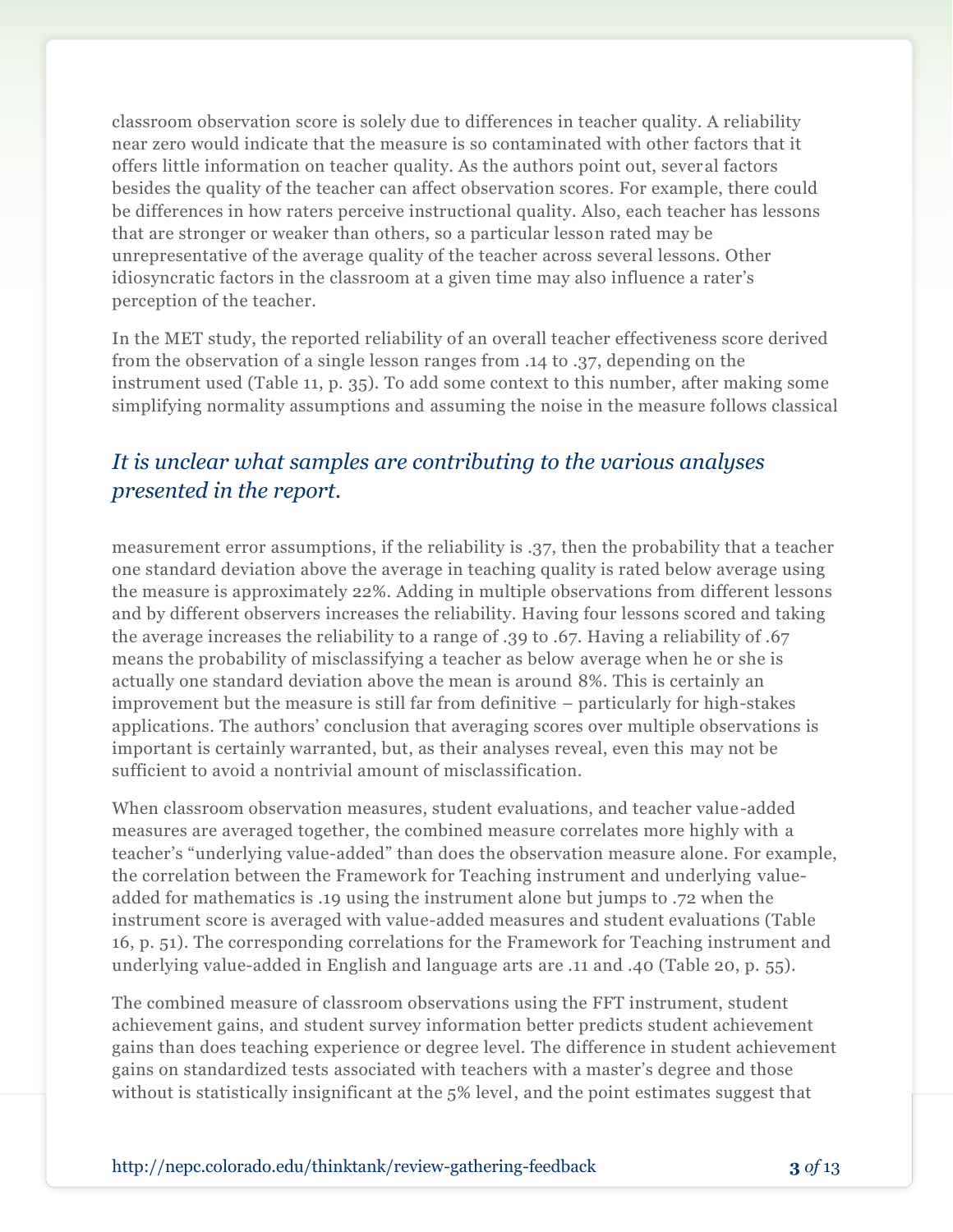classroom observation score is solely due to differences in teacher quality. A reliability near zero would indicate that the measure is so contaminated with other factors that it offers little information on teacher quality. As the authors point out, several factors besides the quality of the teacher can affect observation scores. For example, there could be differences in how raters perceive instructional quality. Also, each teacher has lessons that are stronger or weaker than others, so a particular lesson rated may be unrepresentative of the average quality of the teacher across several lessons. Other idiosyncratic factors in the classroom at a given time may also influence a rater's perception of the teacher.

In the MET study, the reported reliability of an overall teacher effectiveness score derived from the observation of a single lesson ranges from .14 to .37, depending on the instrument used (Table 11, p. 35). To add some context to this number, after making some simplifying normality assumptions and assuming the noise in the measure follows classical

## *It is unclear what samples are contributing to the various analyses presented in the report.*

measurement error assumptions, if the reliability is .37, then the probability that a teacher one standard deviation above the average in teaching quality is rated below average using the measure is approximately 22%. Adding in multiple observations from different lessons and by different observers increases the reliability. Having four lessons scored and taking the average increases the reliability to a range of .39 to .67. Having a reliability of .67 means the probability of misclassifying a teacher as below average when he or she is actually one standard deviation above the mean is around 8%. This is certainly an improvement but the measure is still far from definitive – particularly for high-stakes applications. The authors' conclusion that averaging scores over multiple observations is important is certainly warranted, but, as their analyses reveal, even this may not be sufficient to avoid a nontrivial amount of misclassification.

When classroom observation measures, student evaluations, and teacher value-added measures are averaged together, the combined measure correlates more highly with a teacher's "underlying value-added" than does the observation measure alone. For example, the correlation between the Framework for Teaching instrument and underlying valueadded for mathematics is .19 using the instrument alone but jumps to .72 when the instrument score is averaged with value-added measures and student evaluations (Table 16, p. 51). The corresponding correlations for the Framework for Teaching instrument and underlying value-added in English and language arts are .11 and .40 (Table 20, p. 55).

The combined measure of classroom observations using the FFT instrument, student achievement gains, and student survey information better predicts student achievement gains than does teaching experience or degree level. The difference in student achievement gains on standardized tests associated with teachers with a master's degree and those without is statistically insignificant at the 5% level, and the point estimates suggest that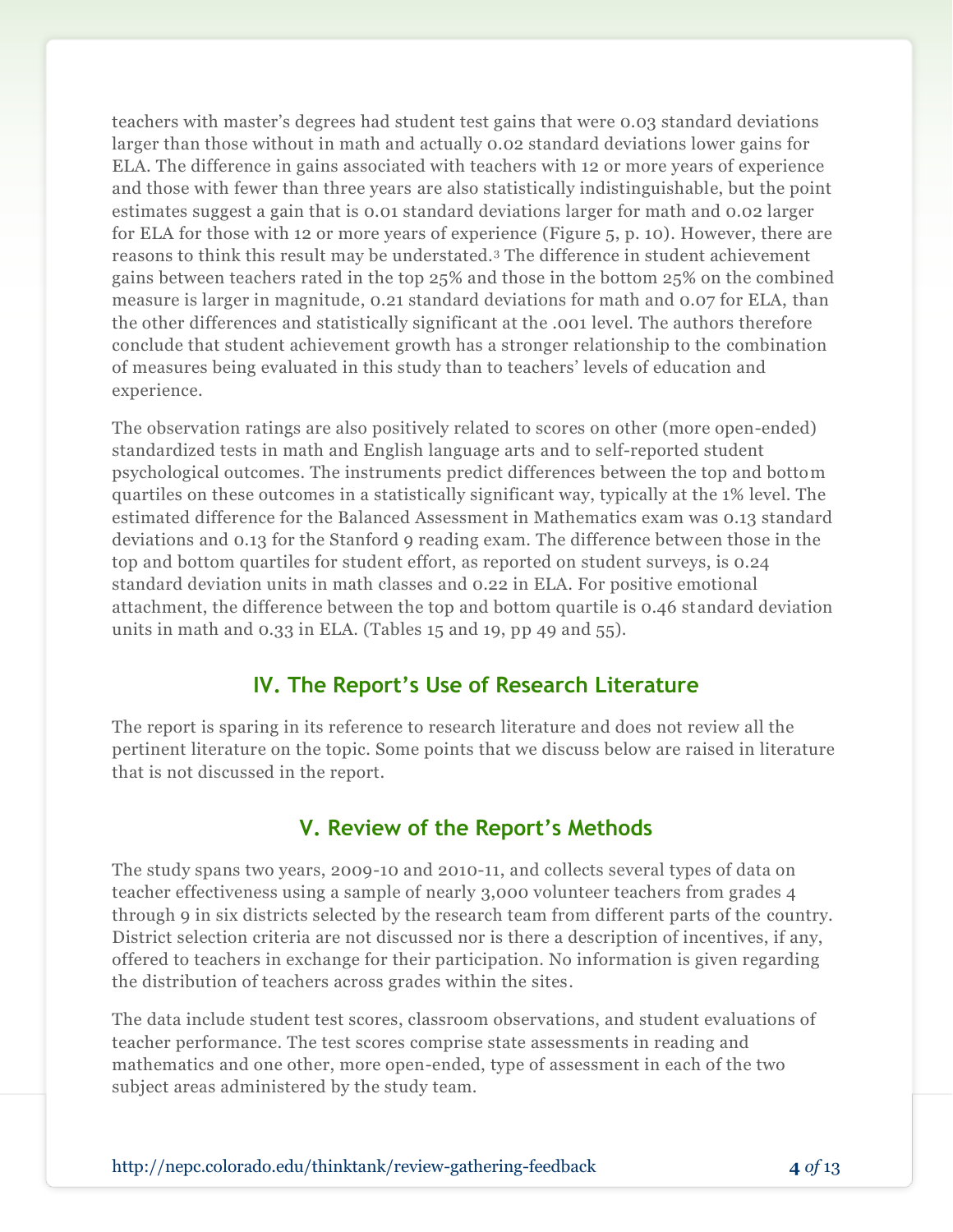teachers with master's degrees had student test gains that were 0.03 standard deviations larger than those without in math and actually 0.02 standard deviations lower gains for ELA. The difference in gains associated with teachers with 12 or more years of experience and those with fewer than three years are also statistically indistinguishable, but the point estimates suggest a gain that is 0.01 standard deviations larger for math and 0.02 larger for ELA for those with 12 or more years of experience (Figure 5, p. 10). However, there are reasons to think this result may be understated.<sup>3</sup> The difference in student achievement gains between teachers rated in the top 25% and those in the bottom 25% on the combined measure is larger in magnitude, 0.21 standard deviations for math and 0.07 for ELA, than the other differences and statistically significant at the .001 level. The authors therefore conclude that student achievement growth has a stronger relationship to the combination of measures being evaluated in this study than to teachers' levels of education and experience.

The observation ratings are also positively related to scores on other (more open-ended) standardized tests in math and English language arts and to self-reported student psychological outcomes. The instruments predict differences between the top and bottom quartiles on these outcomes in a statistically significant way, typically at the 1% level. The estimated difference for the Balanced Assessment in Mathematics exam was 0.13 standard deviations and 0.13 for the Stanford 9 reading exam. The difference between those in the top and bottom quartiles for student effort, as reported on student surveys, is 0.24 standard deviation units in math classes and 0.22 in ELA. For positive emotional attachment, the difference between the top and bottom quartile is 0.46 standard deviation units in math and 0.33 in ELA. (Tables 15 and 19, pp 49 and 55).

## **IV. The Report's Use of Research Literature**

The report is sparing in its reference to research literature and does not review all the pertinent literature on the topic. Some points that we discuss below are raised in literature that is not discussed in the report.

## **V. Review of the Report's Methods**

The study spans two years, 2009-10 and 2010-11, and collects several types of data on teacher effectiveness using a sample of nearly 3,000 volunteer teachers from grades 4 through 9 in six districts selected by the research team from different parts of the country. District selection criteria are not discussed nor is there a description of incentives, if any, offered to teachers in exchange for their participation. No information is given regarding the distribution of teachers across grades within the sites.

The data include student test scores, classroom observations, and student evaluations of teacher performance. The test scores comprise state assessments in reading and mathematics and one other, more open-ended, type of assessment in each of the two subject areas administered by the study team.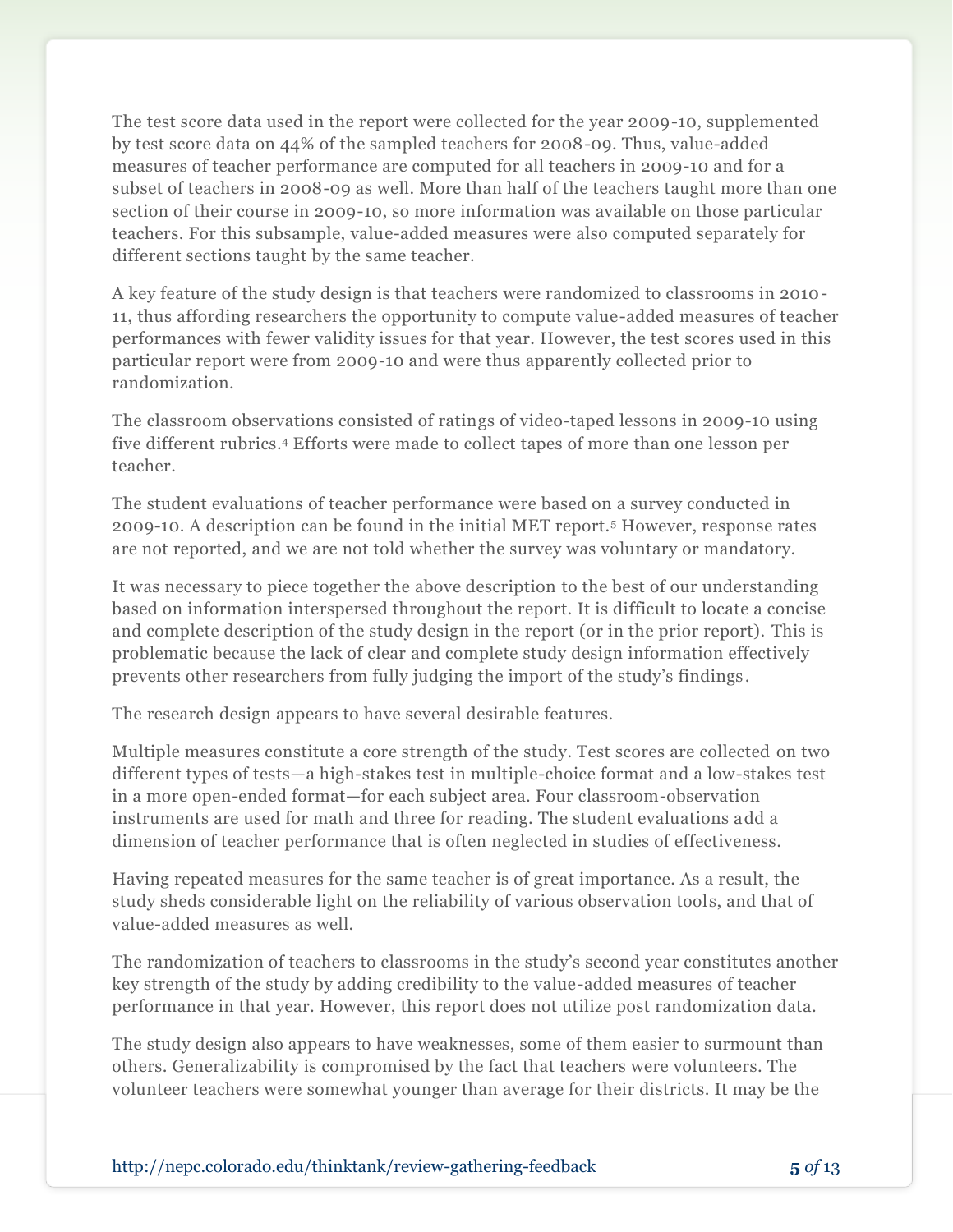The test score data used in the report were collected for the year 2009-10, supplemented by test score data on 44% of the sampled teachers for 2008-09. Thus, value-added measures of teacher performance are computed for all teachers in 2009-10 and for a subset of teachers in 2008-09 as well. More than half of the teachers taught more than one section of their course in 2009-10, so more information was available on those particular teachers. For this subsample, value-added measures were also computed separately for different sections taught by the same teacher.

A key feature of the study design is that teachers were randomized to classrooms in 2010- 11, thus affording researchers the opportunity to compute value-added measures of teacher performances with fewer validity issues for that year. However, the test scores used in this particular report were from 2009-10 and were thus apparently collected prior to randomization.

The classroom observations consisted of ratings of video-taped lessons in 2009-10 using five different rubrics.<sup>4</sup> Efforts were made to collect tapes of more than one lesson per teacher.

The student evaluations of teacher performance were based on a survey conducted in 2009-10. A description can be found in the initial MET report.<sup>5</sup> However, response rates are not reported, and we are not told whether the survey was voluntary or mandatory.

It was necessary to piece together the above description to the best of our understanding based on information interspersed throughout the report. It is difficult to locate a concise and complete description of the study design in the report (or in the prior report). This is problematic because the lack of clear and complete study design information effectively prevents other researchers from fully judging the import of the study's findings .

The research design appears to have several desirable features.

Multiple measures constitute a core strength of the study. Test scores are collected on two different types of tests—a high-stakes test in multiple-choice format and a low-stakes test in a more open-ended format—for each subject area. Four classroom-observation instruments are used for math and three for reading. The student evaluations add a dimension of teacher performance that is often neglected in studies of effectiveness.

Having repeated measures for the same teacher is of great importance. As a result, the study sheds considerable light on the reliability of various observation tools, and that of value-added measures as well.

The randomization of teachers to classrooms in the study's second year constitutes another key strength of the study by adding credibility to the value-added measures of teacher performance in that year. However, this report does not utilize post randomization data.

The study design also appears to have weaknesses, some of them easier to surmount than others. Generalizability is compromised by the fact that teachers were volunteers. The volunteer teachers were somewhat younger than average for their districts. It may be the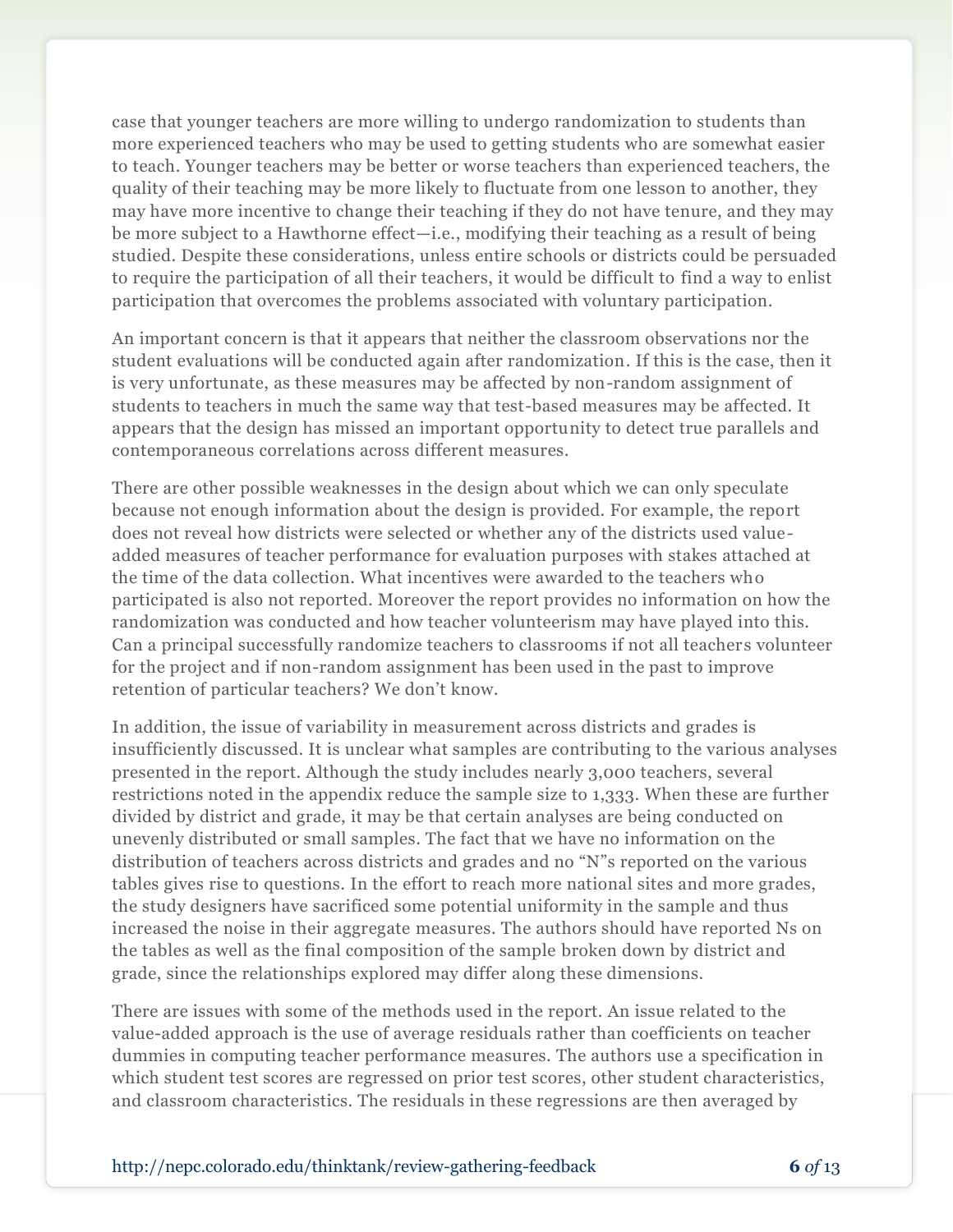case that younger teachers are more willing to undergo randomization to students than more experienced teachers who may be used to getting students who are somewhat easier to teach. Younger teachers may be better or worse teachers than experienced teachers, the quality of their teaching may be more likely to fluctuate from one lesson to another, they may have more incentive to change their teaching if they do not have tenure, and they may be more subject to a Hawthorne effect—i.e., modifying their teaching as a result of being studied. Despite these considerations, unless entire schools or districts could be persuaded to require the participation of all their teachers, it would be difficult to find a way to enlist participation that overcomes the problems associated with voluntary participation.

An important concern is that it appears that neither the classroom observations nor the student evaluations will be conducted again after randomization. If this is the case, then it is very unfortunate, as these measures may be affected by non-random assignment of students to teachers in much the same way that test-based measures may be affected. It appears that the design has missed an important opportunity to detect true parallels and contemporaneous correlations across different measures.

There are other possible weaknesses in the design about which we can only speculate because not enough information about the design is provided. For example, the report does not reveal how districts were selected or whether any of the districts used valueadded measures of teacher performance for evaluation purposes with stakes attached at the time of the data collection. What incentives were awarded to the teachers who participated is also not reported. Moreover the report provides no information on how the randomization was conducted and how teacher volunteerism may have played into this. Can a principal successfully randomize teachers to classrooms if not all teachers volunteer for the project and if non-random assignment has been used in the past to improve retention of particular teachers? We don't know.

In addition, the issue of variability in measurement across districts and grades is insufficiently discussed. It is unclear what samples are contributing to the various analyses presented in the report. Although the study includes nearly 3,000 teachers, several restrictions noted in the appendix reduce the sample size to 1,333. When these are further divided by district and grade, it may be that certain analyses are being conducted on unevenly distributed or small samples. The fact that we have no information on the distribution of teachers across districts and grades and no "N"s reported on the various tables gives rise to questions. In the effort to reach more national sites and more grades, the study designers have sacrificed some potential uniformity in the sample and thus increased the noise in their aggregate measures. The authors should have reported Ns on the tables as well as the final composition of the sample broken down by district and grade, since the relationships explored may differ along these dimensions.

There are issues with some of the methods used in the report. An issue related to the value-added approach is the use of average residuals rather than coefficients on teacher dummies in computing teacher performance measures. The authors use a specification in which student test scores are regressed on prior test scores, other student characteristics, and classroom characteristics. The residuals in these regressions are then averaged by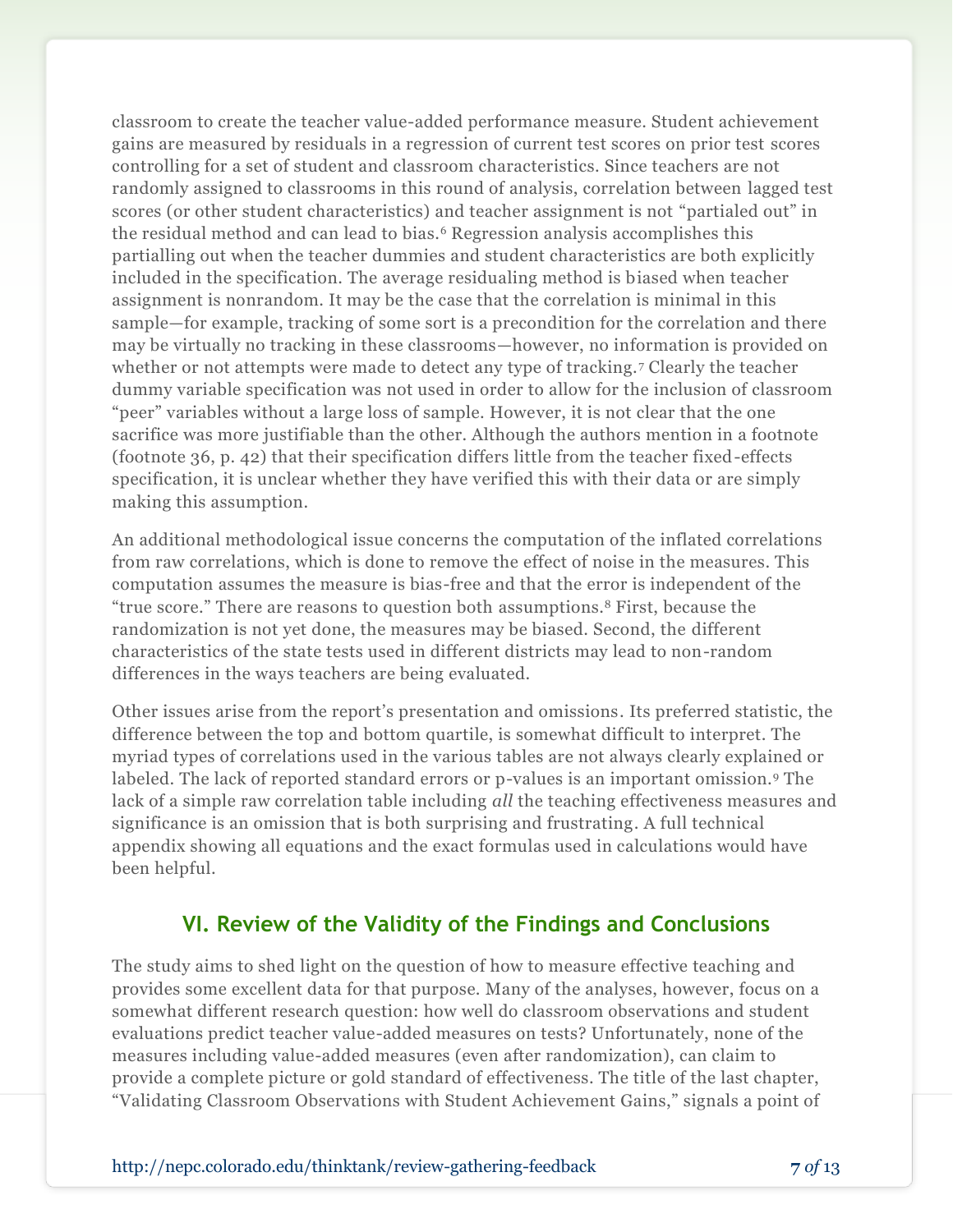classroom to create the teacher value-added performance measure. Student achievement gains are measured by residuals in a regression of current test scores on prior test scores controlling for a set of student and classroom characteristics. Since teachers are not randomly assigned to classrooms in this round of analysis, correlation between lagged test scores (or other student characteristics) and teacher assignment is not "partialed out" in the residual method and can lead to bias.<sup>6</sup> Regression analysis accomplishes this partialling out when the teacher dummies and student characteristics are both explicitly included in the specification. The average residualing method is biased when teacher assignment is nonrandom. It may be the case that the correlation is minimal in this sample—for example, tracking of some sort is a precondition for the correlation and there may be virtually no tracking in these classrooms—however, no information is provided on whether or not attempts were made to detect any type of tracking. <sup>7</sup> Clearly the teacher dummy variable specification was not used in order to allow for the inclusion of classroom "peer" variables without a large loss of sample. However, it is not clear that the one sacrifice was more justifiable than the other. Although the authors mention in a footnote (footnote 36, p. 42) that their specification differs little from the teacher fixed-effects specification, it is unclear whether they have verified this with their data or are simply making this assumption.

An additional methodological issue concerns the computation of the inflated correlations from raw correlations, which is done to remove the effect of noise in the measures. This computation assumes the measure is bias-free and that the error is independent of the "true score." There are reasons to question both assumptions.<sup>8</sup> First, because the randomization is not yet done, the measures may be biased. Second, the different characteristics of the state tests used in different districts may lead to non-random differences in the ways teachers are being evaluated.

Other issues arise from the report's presentation and omissions. Its preferred statistic, the difference between the top and bottom quartile, is somewhat difficult to interpret. The myriad types of correlations used in the various tables are not always clearly explained or labeled. The lack of reported standard errors or p-values is an important omission.<sup>9</sup> The lack of a simple raw correlation table including *all* the teaching effectiveness measures and significance is an omission that is both surprising and frustrating. A full technical appendix showing all equations and the exact formulas used in calculations would have been helpful.

## **VI. Review of the Validity of the Findings and Conclusions**

The study aims to shed light on the question of how to measure effective teaching and provides some excellent data for that purpose. Many of the analyses, however, focus on a somewhat different research question: how well do classroom observations and student evaluations predict teacher value-added measures on tests? Unfortunately, none of the measures including value-added measures (even after randomization), can claim to provide a complete picture or gold standard of effectiveness. The title of the last chapter, "Validating Classroom Observations with Student Achievement Gains," signals a point of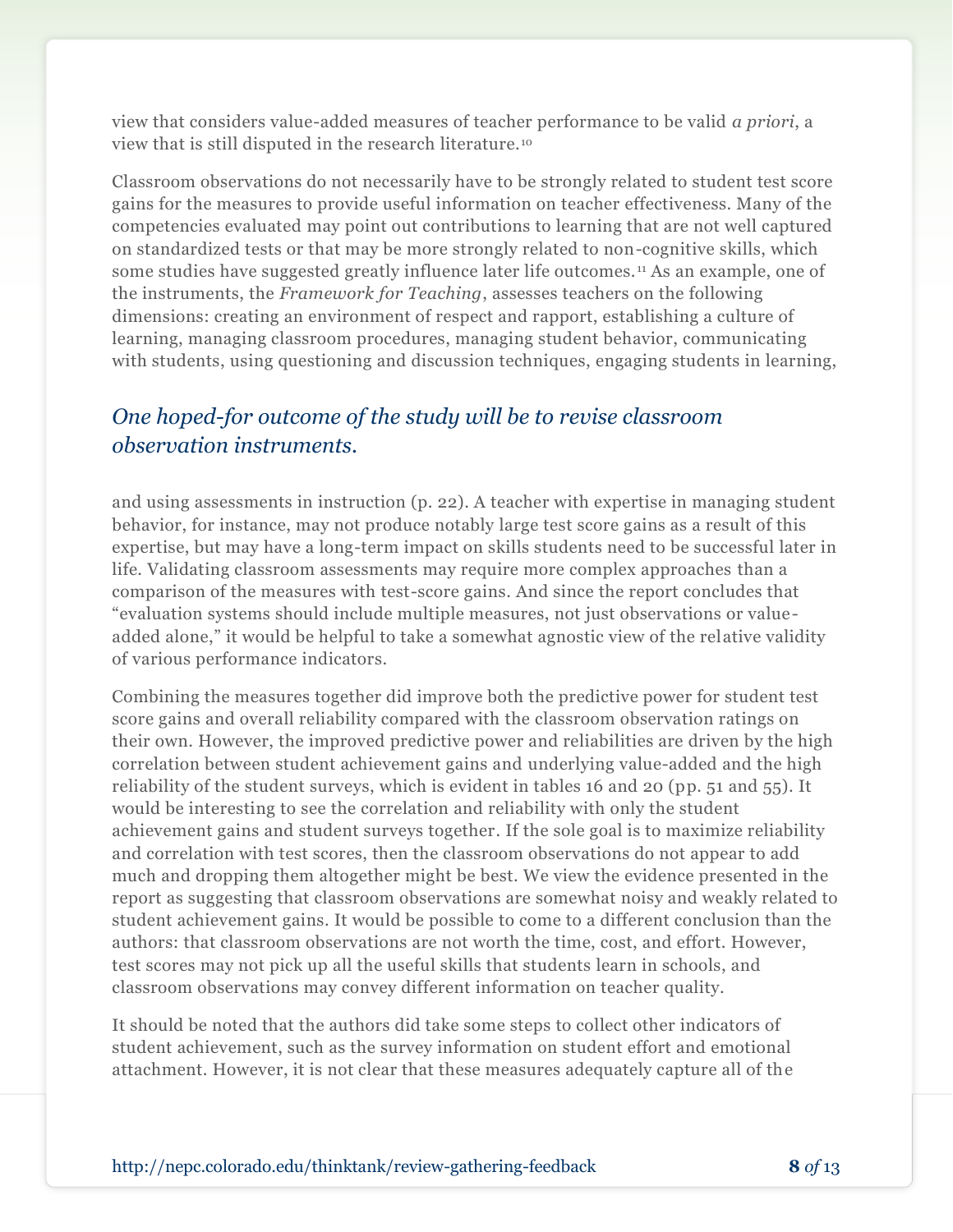view that considers value-added measures of teacher performance to be valid *a priori*, a view that is still disputed in the research literature. <sup>10</sup>

Classroom observations do not necessarily have to be strongly related to student test score gains for the measures to provide useful information on teacher effectiveness. Many of the competencies evaluated may point out contributions to learning that are not well captured on standardized tests or that may be more strongly related to non-cognitive skills, which some studies have suggested greatly influence later life outcomes. <sup>11</sup> As an example, one of the instruments, the *Framework for Teaching*, assesses teachers on the following dimensions: creating an environment of respect and rapport, establishing a culture of learning, managing classroom procedures, managing student behavior, communicating with students, using questioning and discussion techniques, engaging students in learning,

## *One hoped-for outcome of the study will be to revise classroom observation instruments.*

and using assessments in instruction (p. 22). A teacher with expertise in managing student behavior, for instance, may not produce notably large test score gains as a result of this expertise, but may have a long-term impact on skills students need to be successful later in life. Validating classroom assessments may require more complex approaches than a comparison of the measures with test-score gains. And since the report concludes that "evaluation systems should include multiple measures, not just observations or valueadded alone," it would be helpful to take a somewhat agnostic view of the relative validity of various performance indicators.

Combining the measures together did improve both the predictive power for student test score gains and overall reliability compared with the classroom observation ratings on their own. However, the improved predictive power and reliabilities are driven by the high correlation between student achievement gains and underlying value-added and the high reliability of the student surveys, which is evident in tables 16 and 20 (pp. 51 and 55). It would be interesting to see the correlation and reliability with only the student achievement gains and student surveys together. If the sole goal is to maximize reliability and correlation with test scores, then the classroom observations do not appear to add much and dropping them altogether might be best. We view the evidence presented in the report as suggesting that classroom observations are somewhat noisy and weakly related to student achievement gains. It would be possible to come to a different conclusion than the authors: that classroom observations are not worth the time, cost, and effort. However, test scores may not pick up all the useful skills that students learn in schools, and classroom observations may convey different information on teacher quality.

It should be noted that the authors did take some steps to collect other indicators of student achievement, such as the survey information on student effort and emotional attachment. However, it is not clear that these measures adequately capture all of the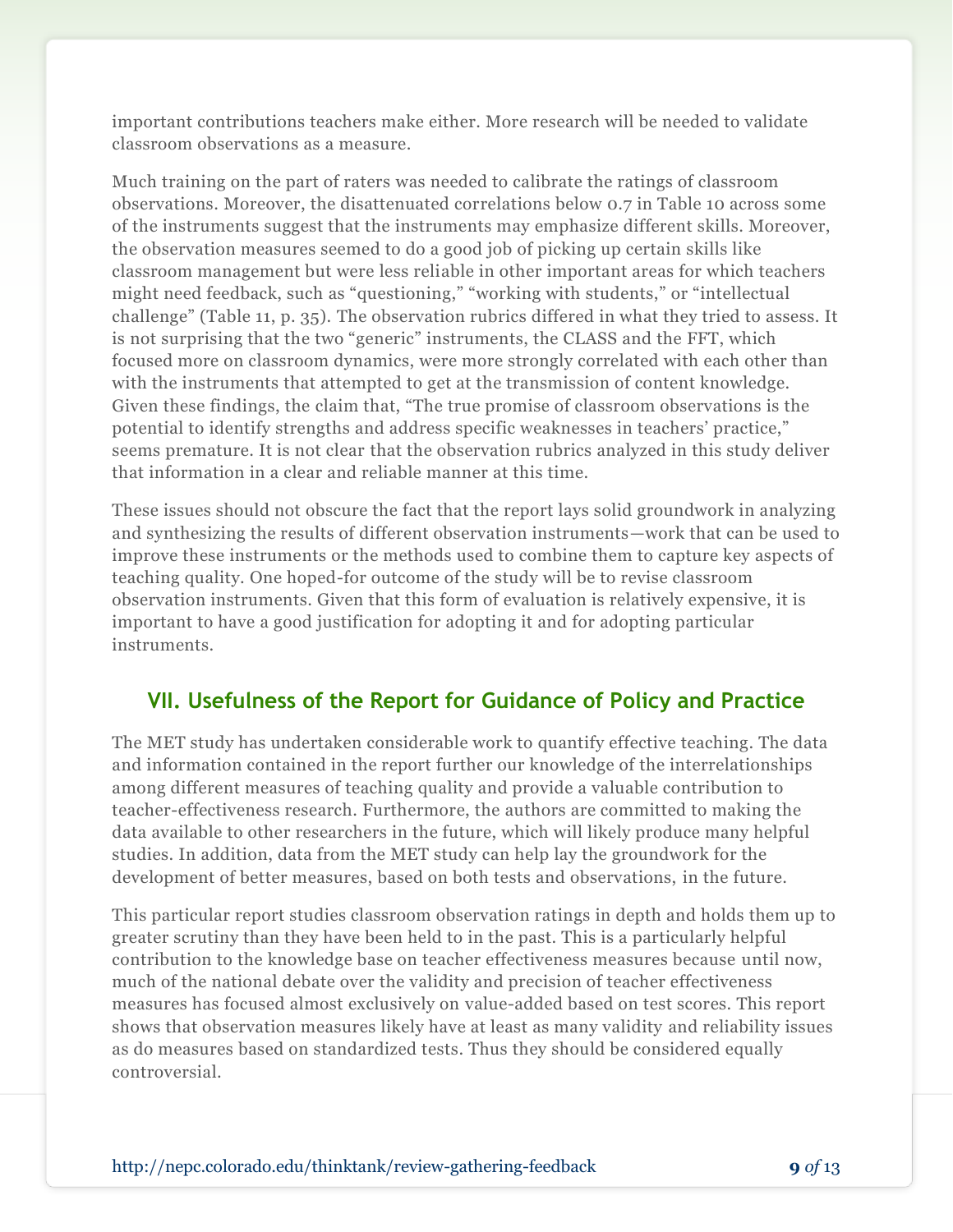important contributions teachers make either. More research will be needed to validate classroom observations as a measure.

Much training on the part of raters was needed to calibrate the ratings of classroom observations. Moreover, the disattenuated correlations below 0.7 in Table 10 across some of the instruments suggest that the instruments may emphasize different skills. Moreover, the observation measures seemed to do a good job of picking up certain skills like classroom management but were less reliable in other important areas for which teachers might need feedback, such as "questioning," "working with students," or "intellectual challenge" (Table 11, p. 35). The observation rubrics differed in what they tried to assess. It is not surprising that the two "generic" instruments, the CLASS and the FFT, which focused more on classroom dynamics, were more strongly correlated with each other than with the instruments that attempted to get at the transmission of content knowledge. Given these findings, the claim that, "The true promise of classroom observations is the potential to identify strengths and address specific weaknesses in teachers' practice," seems premature. It is not clear that the observation rubrics analyzed in this study deliver that information in a clear and reliable manner at this time.

These issues should not obscure the fact that the report lays solid groundwork in analyzing and synthesizing the results of different observation instruments—work that can be used to improve these instruments or the methods used to combine them to capture key aspects of teaching quality. One hoped-for outcome of the study will be to revise classroom observation instruments. Given that this form of evaluation is relatively expensive, it is important to have a good justification for adopting it and for adopting particular instruments.

## **VII. Usefulness of the Report for Guidance of Policy and Practice**

The MET study has undertaken considerable work to quantify effective teaching. The data and information contained in the report further our knowledge of the interrelationships among different measures of teaching quality and provide a valuable contribution to teacher-effectiveness research. Furthermore, the authors are committed to making the data available to other researchers in the future, which will likely produce many helpful studies. In addition, data from the MET study can help lay the groundwork for the development of better measures, based on both tests and observations, in the future.

This particular report studies classroom observation ratings in depth and holds them up to greater scrutiny than they have been held to in the past. This is a particularly helpful contribution to the knowledge base on teacher effectiveness measures because until now, much of the national debate over the validity and precision of teacher effectiveness measures has focused almost exclusively on value-added based on test scores. This report shows that observation measures likely have at least as many validity and reliability issues as do measures based on standardized tests. Thus they should be considered equally controversial.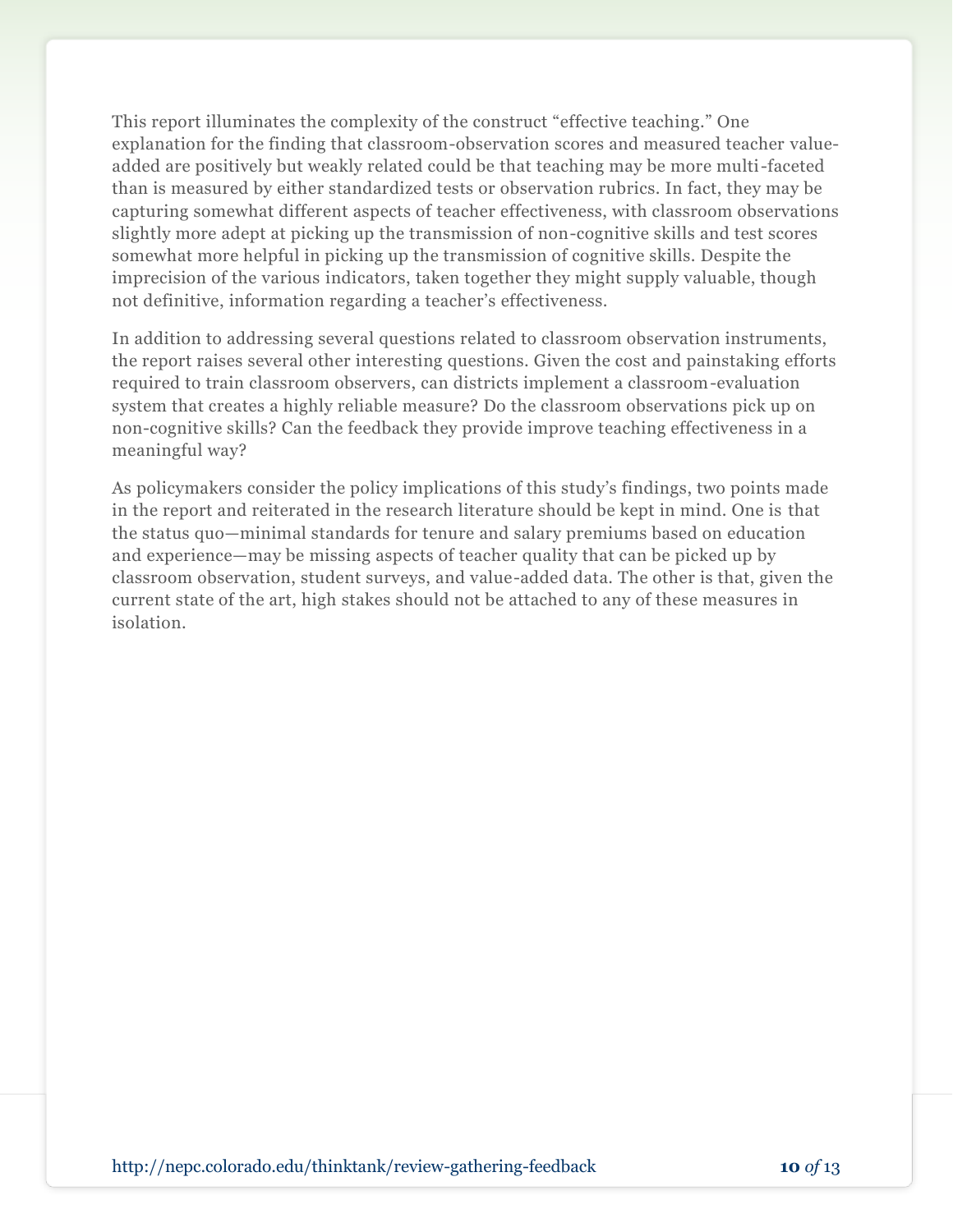This report illuminates the complexity of the construct "effective teaching." One explanation for the finding that classroom-observation scores and measured teacher valueadded are positively but weakly related could be that teaching may be more multi-faceted than is measured by either standardized tests or observation rubrics. In fact, they may be capturing somewhat different aspects of teacher effectiveness, with classroom observations slightly more adept at picking up the transmission of non-cognitive skills and test scores somewhat more helpful in picking up the transmission of cognitive skills. Despite the imprecision of the various indicators, taken together they might supply valuable, though not definitive, information regarding a teacher's effectiveness.

In addition to addressing several questions related to classroom observation instruments, the report raises several other interesting questions. Given the cost and painstaking efforts required to train classroom observers, can districts implement a classroom-evaluation system that creates a highly reliable measure? Do the classroom observations pick up on non-cognitive skills? Can the feedback they provide improve teaching effectiveness in a meaningful way?

As policymakers consider the policy implications of this study's findings, two points made in the report and reiterated in the research literature should be kept in mind. One is that the status quo—minimal standards for tenure and salary premiums based on education and experience—may be missing aspects of teacher quality that can be picked up by classroom observation, student surveys, and value-added data. The other is that, given the current state of the art, high stakes should not be attached to any of these measures in isolation.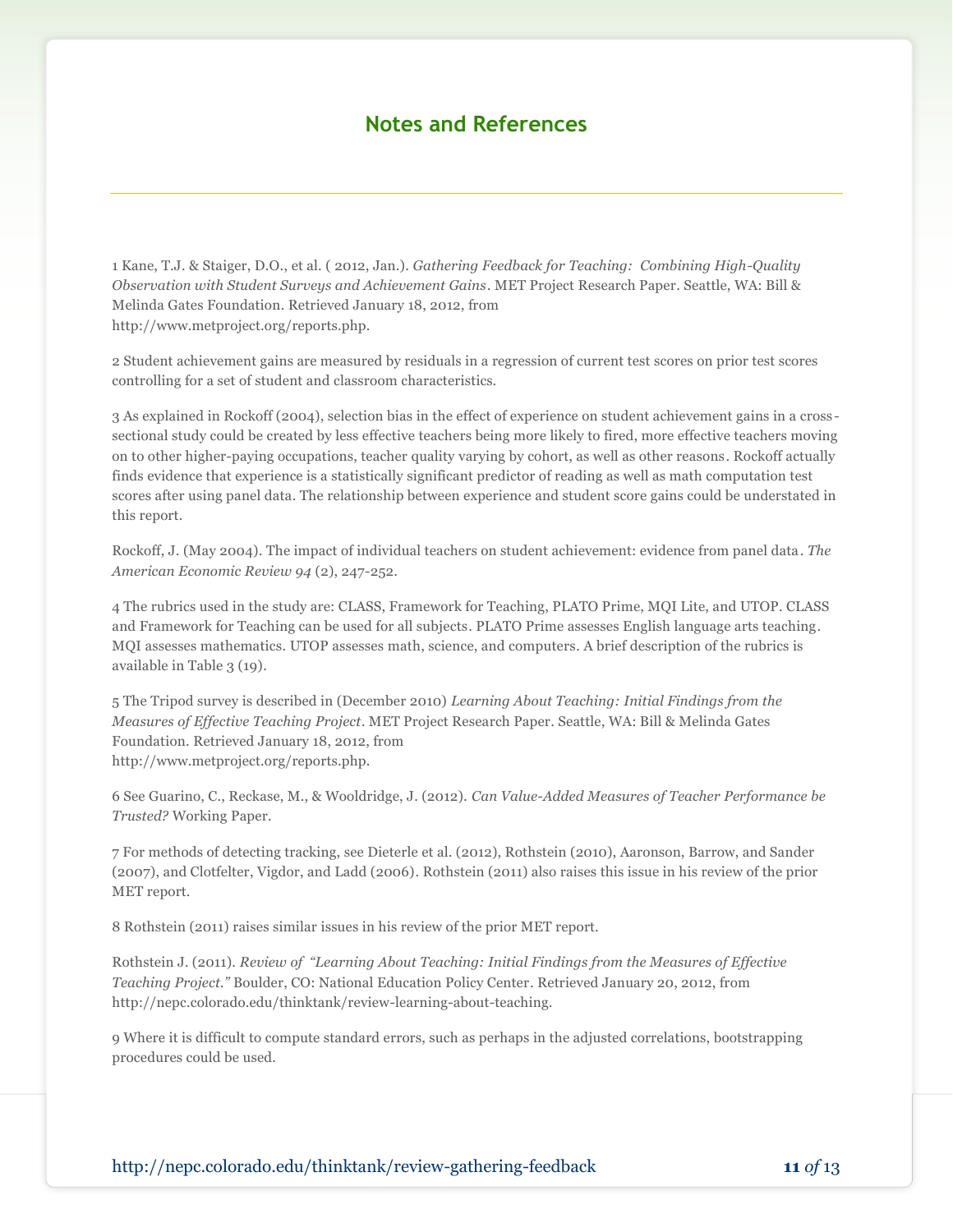#### **Notes and References**

1 Kane, T.J. & Staiger, D.O., et al. ( 2012, Jan.). *Gathering Feedback for Teaching: Combining High-Quality Observation with Student Surveys and Achievement Gains.* MET Project Research Paper. Seattle, WA: Bill & Melinda Gates Foundation. Retrieved January 18, 2012, from http://www.metproject.org/reports.php.

2 Student achievement gains are measured by residuals in a regression of current test scores on prior test scores controlling for a set of student and classroom characteristics.

3 As explained in Rockoff (2004), selection bias in the effect of experience on student achievement gains in a cross sectional study could be created by less effective teachers being more likely to fired, more effective teachers moving on to other higher-paying occupations, teacher quality varying by cohort, as well as other reasons. Rockoff actually finds evidence that experience is a statistically significant predictor of reading as well as math computation test scores after using panel data. The relationship between experience and student score gains could be understated in this report.

Rockoff, J. (May 2004). The impact of individual teachers on student achievement: evidence from panel data. *The American Economic Review 94* (2), 247-252.

4 The rubrics used in the study are: CLASS, Framework for Teaching, PLATO Prime, MQI Lite, and UTOP. CLASS and Framework for Teaching can be used for all subjects. PLATO Prime assesses English language arts teaching. MQI assesses mathematics. UTOP assesses math, science, and computers. A brief description of the rubrics is available in Table 3 (19).

5 The Tripod survey is described in (December 2010) *Learning About Teaching: Initial Findings from the Measures of Effective Teaching Project.* MET Project Research Paper. Seattle, WA: Bill & Melinda Gates Foundation. Retrieved January 18, 2012, from http://www.metproject.org/reports.php.

6 See Guarino, C., Reckase, M., & Wooldridge, J. (2012). *Can Value-Added Measures of Teacher Performance be Trusted?* Working Paper.

7 For methods of detecting tracking, see Dieterle et al. (2012), Rothstein (2010), Aaronson, Barrow, and Sander (2007), and Clotfelter, Vigdor, and Ladd (2006). Rothstein (2011) also raises this issue in his review of the prior MET report.

8 Rothstein (2011) raises similar issues in his review of the prior MET report.

Rothstein J. (2011). *Review of "Learning About Teaching: Initial Findings from the Measures of Effective Teaching Project."* Boulder, CO: National Education Policy Center. Retrieved January 20, 2012, from http://nepc.colorado.edu/thinktank/review-learning-about-teaching.

9 Where it is difficult to compute standard errors, such as perhaps in the adjusted correlations, bootstrapping procedures could be used.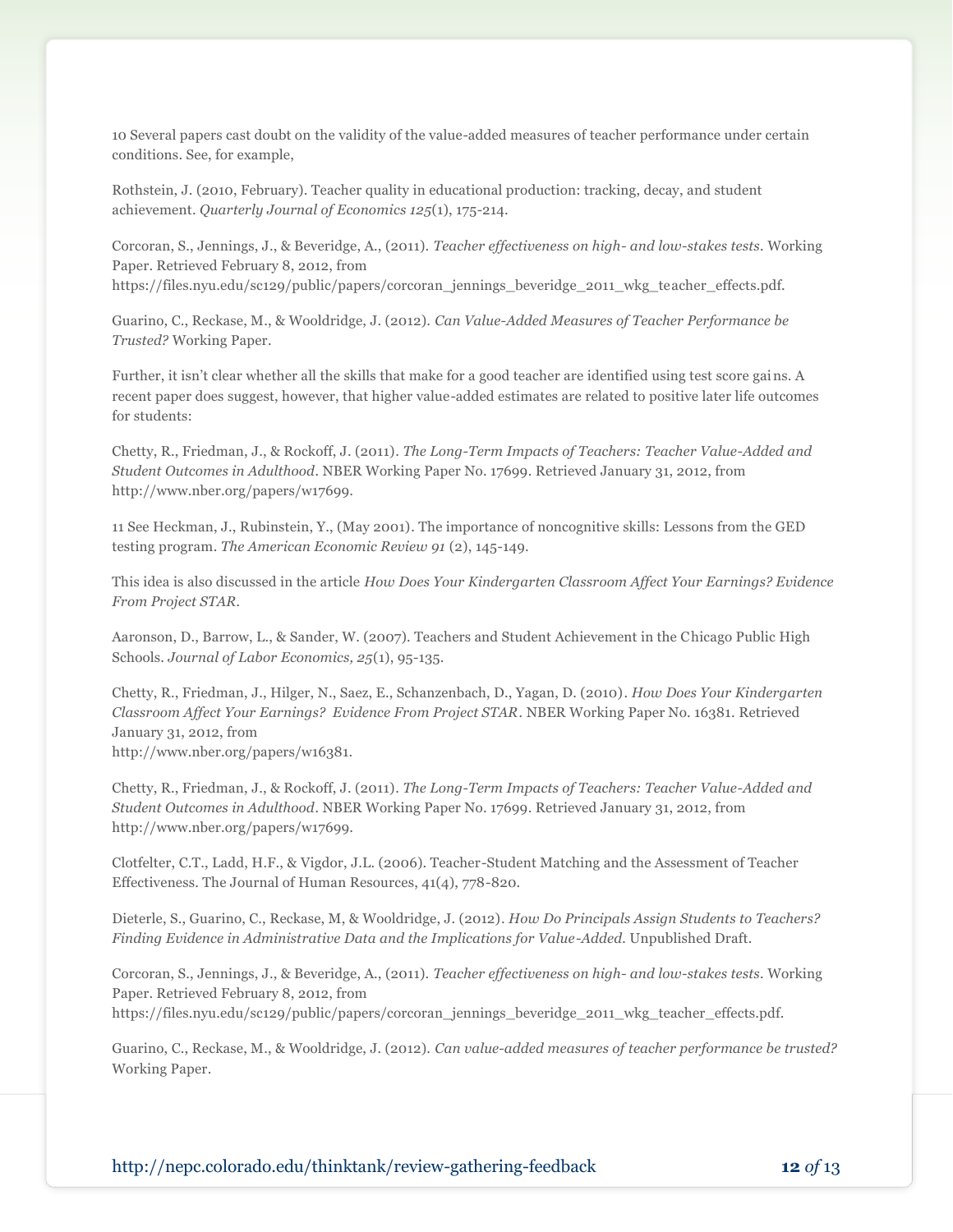10 Several papers cast doubt on the validity of the value-added measures of teacher performance under certain conditions. See, for example,

Rothstein, J. (2010, February). Teacher quality in educational production: tracking, decay, and student achievement. *Quarterly Journal of Economics 125*(1), 175-214.

Corcoran, S., Jennings, J., & Beveridge, A., (2011). *Teacher effectiveness on high- and low-stakes tests.* Working Paper. Retrieved February 8, 2012, from https://files.nyu.edu/sc129/public/papers/corcoran\_jennings\_beveridge\_2011\_wkg\_teacher\_effects.pdf.

Guarino, C., Reckase, M., & Wooldridge, J. (2012). *Can Value-Added Measures of Teacher Performance be Trusted?* Working Paper.

Further, it isn't clear whether all the skills that make for a good teacher are identified using test score gains. A recent paper does suggest, however, that higher value-added estimates are related to positive later life outcomes for students:

Chetty, R., Friedman, J., & Rockoff, J. (2011). *The Long-Term Impacts of Teachers: Teacher Value-Added and Student Outcomes in Adulthood.* NBER Working Paper No. 17699. Retrieved January 31, 2012, from http://www.nber.org/papers/w17699.

11 See Heckman, J., Rubinstein, Y., (May 2001). The importance of noncognitive skills: Lessons from the GED testing program. *The American Economic Review 91* (2), 145-149.

This idea is also discussed in the article *How Does Your Kindergarten Classroom Affect Your Earnings? Evidence From Project STAR.*

Aaronson, D., Barrow, L., & Sander, W. (2007). Teachers and Student Achievement in the Chicago Public High Schools. *Journal of Labor Economics, 25*(1), 95-135.

Chetty, R., Friedman, J., Hilger, N., Saez, E., Schanzenbach, D., Yagan, D. (2010). *How Does Your Kindergarten Classroom Affect Your Earnings? Evidence From Project STAR.* NBER Working Paper No. 16381. Retrieved January 31, 2012, from

http://www.nber.org/papers/w16381.

Chetty, R., Friedman, J., & Rockoff, J. (2011). *The Long-Term Impacts of Teachers: Teacher Value-Added and Student Outcomes in Adulthood.* NBER Working Paper No. 17699. Retrieved January 31, 2012, from http://www.nber.org/papers/w17699.

Clotfelter, C.T., Ladd, H.F., & Vigdor, J.L. (2006). Teacher-Student Matching and the Assessment of Teacher Effectiveness. The Journal of Human Resources, 41(4), 778-820.

Dieterle, S., Guarino, C., Reckase, M, & Wooldridge, J. (2012). *How Do Principals Assign Students to Teachers? Finding Evidence in Administrative Data and the Implications for Value-Added.* Unpublished Draft.

Corcoran, S., Jennings, J., & Beveridge, A., (2011). *Teacher effectiveness on high- and low-stakes tests.* Working Paper. Retrieved February 8, 2012, from https://files.nyu.edu/sc129/public/papers/corcoran\_jennings\_beveridge\_2011\_wkg\_teacher\_effects.pdf.

Guarino, C., Reckase, M., & Wooldridge, J. (2012). *Can value-added measures of teacher performance be trusted?* Working Paper.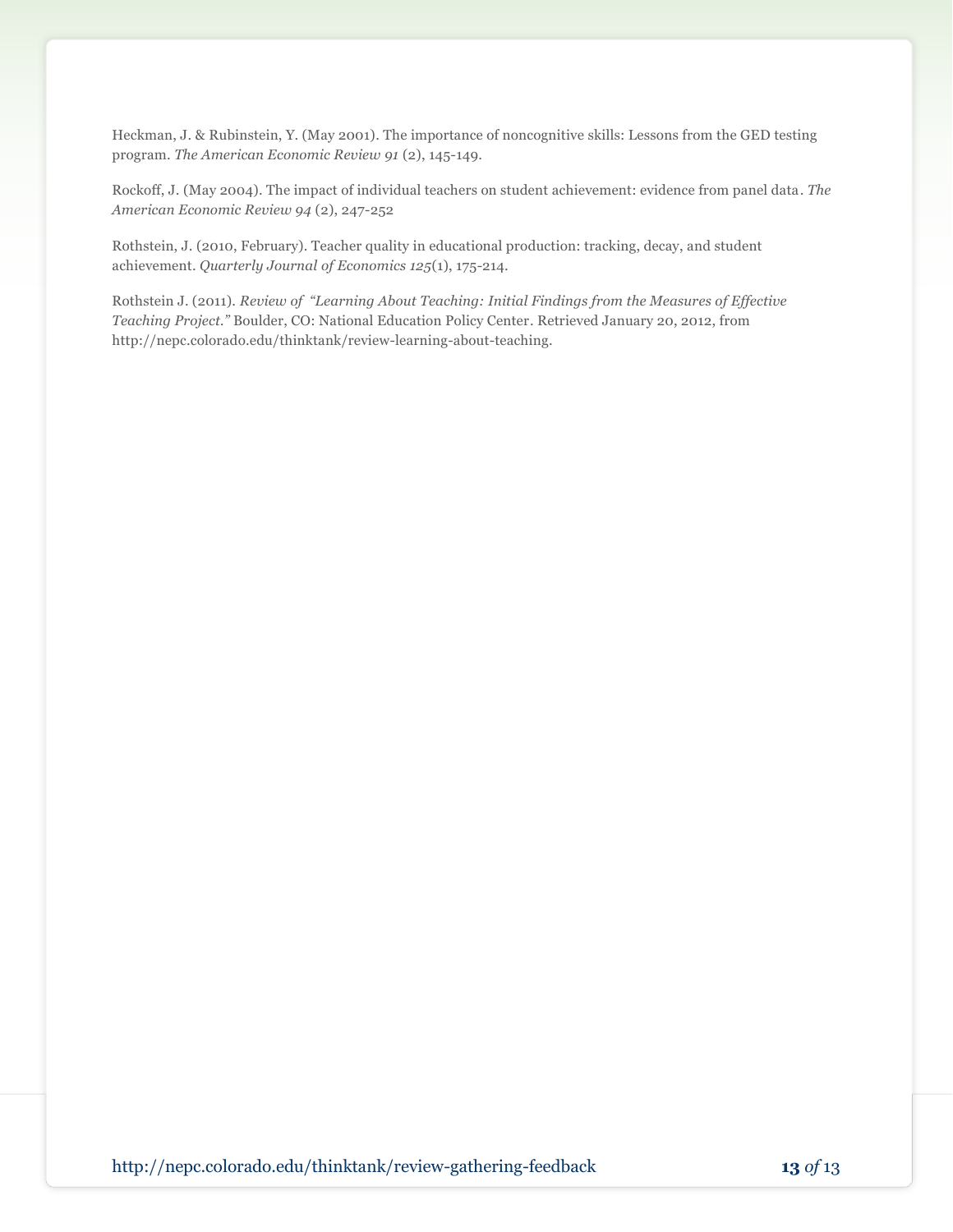Heckman, J. & Rubinstein, Y. (May 2001). The importance of noncognitive skills: Lessons from the GED testing program. *The American Economic Review 91* (2), 145-149.

Rockoff, J. (May 2004). The impact of individual teachers on student achievement: evidence from panel data. *The American Economic Review 94* (2), 247-252

Rothstein, J. (2010, February). Teacher quality in educational production: tracking, decay, and student achievement. *Quarterly Journal of Economics 125*(1), 175-214.

Rothstein J. (2011). *Review of "Learning About Teaching: Initial Findings from the Measures of Effective Teaching Project."* Boulder, CO: National Education Policy Center. Retrieved January 20, 2012, from http://nepc.colorado.edu/thinktank/review-learning-about-teaching.